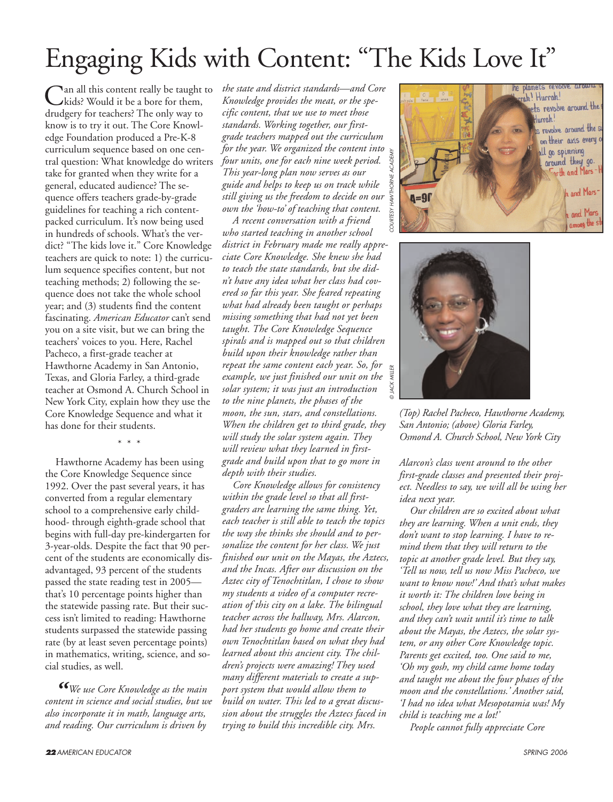# Engaging Kids with Content: "The Kids Love It"

Can all this content really be taught to<br>kids? Would it be a bore for them, drudgery for teachers? The only way to know is to try it out. The Core Knowledge Foundation produced a Pre-K-8 curriculum sequence based on one central question: What knowledge do writers take for granted when they write for a general, educated audience? The sequence offers teachers grade-by-grade guidelines for teaching a rich contentpacked curriculum. It's now being used in hundreds of schools. What's the verdict? "The kids love it." Core Knowledge teachers are quick to note: 1) the curriculum sequence specifies content, but not teaching methods; 2) following the sequence does not take the whole school year; and (3) students find the content fascinating. *American Educator* can't send you on a site visit, but we can bring the teachers' voices to you. Here, Rachel Pacheco, a first-grade teacher at Hawthorne Academy in San Antonio, Texas, and Gloria Farley, a third-grade teacher at Osmond A. Church School in New York City, explain how they use the Core Knowledge Sequence and what it has done for their students.

\* \* \*

Hawthorne Academy has been using the Core Knowledge Sequence since 1992. Over the past several years, it has converted from a regular elementary school to a comprehensive early childhood- through eighth-grade school that begins with full-day pre-kindergarten for 3-year-olds. Despite the fact that 90 percent of the students are economically disadvantaged, 93 percent of the students passed the state reading test in 2005 that's 10 percentage points higher than the statewide passing rate. But their success isn't limited to reading: Hawthorne students surpassed the statewide passing rate (by at least seven percentage points) in mathematics, writing, science, and social studies, as well.

*"We use Core Knowledge as the main content in science and social studies, but we also incorporate it in math, language arts, and reading. Our curriculum is driven by*

*the state and district standards—and Core Knowledge provides the meat, or the specific content, that we use to meet those standards. Working together, our firstgrade teachers mapped out the curriculum for the year. We organized the content into four units, one for each nine week period. This year-long plan now serves as our guide and helps to keep us on track while still giving us the freedom to decide on our own the 'how-to' of teaching that content.* 

*A recent conversation with a friend who started teaching in another school district in February made me really appreciate Core Knowledge. She knew she had to teach the state standards, but she didn't have any idea what her class had covered so far this year. She feared repeating what had already been taught or perhaps missing something that had not yet been taught. The Core Knowledge Sequence spirals and is mapped out so that children build upon their knowledge rather than repeat the same content each year. So, for example, we just finished our unit on the solar system; it was just an introduction to the nine planets, the phases of the moon, the sun, stars, and constellations. When the children get to third grade, they will study the solar system again. They will review what they learned in firstgrade and build upon that to go more in depth with their studies.*

*Core Knowledge allows for consistency within the grade level so that all firstgraders are learning the same thing. Yet, each teacher is still able to teach the topics the way she thinks she should and to personalize the content for her class. We just finished our unit on the Mayas, the Aztecs, and the Incas. After our discussion on the Aztec city of Tenochtitlan, I chose to show my students a video of a computer recreation of this city on a lake. The bilingual teacher across the hallway, Mrs. Alarcon, had her students go home and create their own Tenochtitlan based on what they had learned about this ancient city. The children's projects were amazing! They used many different materials to create a support system that would allow them to build on water. This led to a great discussion about the struggles the Aztecs faced in trying to build this incredible city. Mrs.*





*©*

*(Top) Rachel Pacheco, Hawthorne Academy, San Antonio; (above) Gloria Farley, Osmond A. Church School, New York City*

*Alarcon's class went around to the other first-grade classes and presented their project. Needless to say, we will all be using her idea next year.*

*Our children are so excited about what they are learning. When a unit ends, they don't want to stop learning. I have to remind them that they will return to the topic at another grade level. But they say, 'Tell us now, tell us now Miss Pacheco, we want to know now!' And that's what makes it worth it: The children love being in school, they love what they are learning, and they can't wait until it's time to talk about the Mayas, the Aztecs, the solar system, or any other Core Knowledge topic. Parents get excited, too. One said to me, 'Oh my gosh, my child came home today and taught me about the four phases of the moon and the constellations.' Another said, 'I had no idea what Mesopotamia was! My child is teaching me a lot!'*

*People cannot fully appreciate Core*